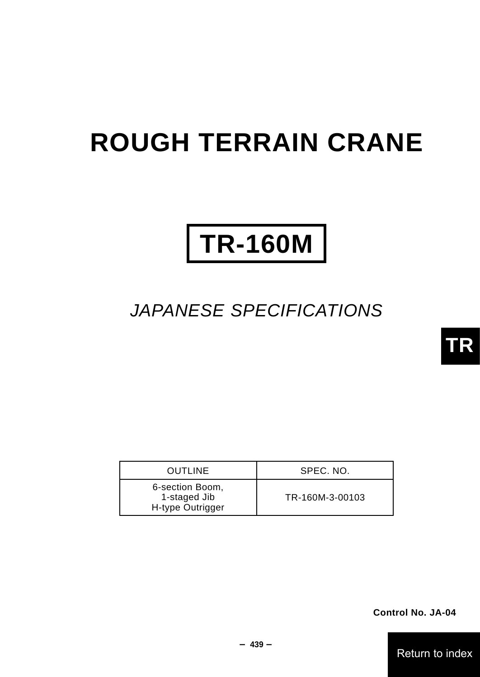# **ROUGH TERRAIN CRANE**

# **TR-160M**

## JAPANESE SPECIFICATIONS

| <b>OUTLINE</b>                                      | SPEC. NO.       |
|-----------------------------------------------------|-----------------|
| 6-section Boom,<br>1-staged Jib<br>H-type Outrigger | TR-160M-3-00103 |

**Control No. JA-04**

Return to index

**TR**

- **439** -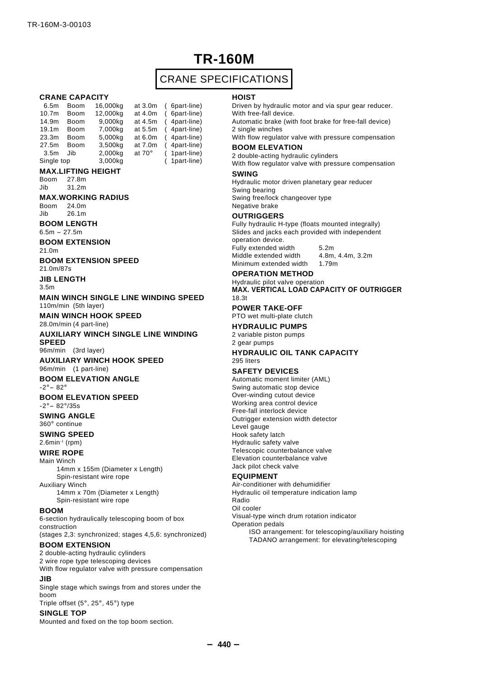## **TR-160M**

## CRANE SPECIFICATIONS

#### **CRANE CAPACITY**

| 6.5m              | <b>Boom</b> | 16,000kg | at 3.0m       | ( 6part-line) |
|-------------------|-------------|----------|---------------|---------------|
| 10.7 <sub>m</sub> | <b>Boom</b> | 12,000kg | at 4.0m       | ( 6part-line) |
| 14.9m             | <b>Boom</b> | 9,000kg  | at 4.5m       | (4part-line)  |
| 19.1m             | <b>Boom</b> | 7,000kg  | at 5.5m       | (4part-line)  |
| 23.3m             | <b>Boom</b> | 5,000kg  | at 6.0m       | (4part-line)  |
| 27.5m             | <b>Boom</b> | 3,500kg  | at 7.0m       | (4part-line)  |
| 3.5 <sub>m</sub>  | Jib         | 2,000kg  | at $70^\circ$ | (1part-line)  |
| Single top        |             | 3,000kg  |               | (1part-line)  |

#### **MAX.LIFTING HEIGHT**

Boom 27.8m Jib 31.2m

#### **MAX.WORKING RADIUS**

Boom 24.0m Jib 26.1m

**BOOM LENGTH**

 $6.5m - 27.5m$ 

**BOOM EXTENSION**

21.0m

**BOOM EXTENSION SPEED** 21.0m/87s

**JIB LENGTH**

3.5m

**MAIN WINCH SINGLE LINE WINDING SPEED** 110m/min (5th layer)

**MAIN WINCH HOOK SPEED** 28.0m/min (4 part-line)

**AUXILIARY WINCH SINGLE LINE WINDING SPEED**

96m/min (3rd layer)

**AUXILIARY WINCH HOOK SPEED** 96m/min (1 part-line)

#### **BOOM ELEVATION ANGLE**

 $-2^\circ - 82^\circ$ 

**BOOM ELEVATION SPEED**  $-2^{\circ} - 82^{\circ}/35s$ 

## **SWING ANGLE**

360°continue

#### **SWING SPEED**

 $2.6$ min-1 (rpm)

**WIRE ROPE**

Main Winch

14mm x 155m (Diameter x Length) Spin-resistant wire rope Auxiliary Winch

14mm x 70m (Diameter x Length) Spin-resistant wire rope

#### **BOOM**

6-section hydraulically telescoping boom of box construction (stages 2,3: synchronized; stages 4,5,6: synchronized)

#### **BOOM EXTENSION**

2 double-acting hydraulic cylinders 2 wire rope type telescoping devices With flow regulator valve with pressure compensation

#### **JIB**

Single stage which swings from and stores under the boom Triple offset (5°, 25°, 45°) type

#### **SINGLE TOP**

Mounted and fixed on the top boom section.

#### **HOIST**

Driven by hydraulic motor and via spur gear reducer. With free-fall device.

Automatic brake (with foot brake for free-fall device) 2 single winches

With flow regulator valve with pressure compensation

#### **BOOM ELEVATION**

2 double-acting hydraulic cylinders

With flow regulator valve with pressure compensation

### **SWING**

Hydraulic motor driven planetary gear reducer Swing bearing Swing free/lock changeover type

Negative brake

#### **OUTRIGGERS**

Fully hydraulic H-type (floats mounted integrally) Slides and jacks each provided with independent operation device. Fully extended width 5.2m Middle extended width 4.8m, 4.4m, 3.2m Minimum extended width 1.79m

#### **OPERATION METHOD**

Hydraulic pilot valve operation **MAX. VERTICAL LOAD CAPACITY OF OUTRIGGER** 18.3t

**POWER TAKE-OFF** PTO wet multi-plate clutch

### **HYDRAULIC PUMPS**

2 variable piston pumps 2 gear pumps

#### **HYDRAULIC OIL TANK CAPACITY** 295 liters

#### **SAFETY DEVICES**

Automatic moment limiter (AML) Swing automatic stop device Over-winding cutout device Working area control device Free-fall interlock device Outrigger extension width detector Level gauge Hook safety latch Hydraulic safety valve Telescopic counterbalance valve Elevation counterbalance valve Jack pilot check valve

#### **EQUIPMENT**

Air-conditioner with dehumidifier Hydraulic oil temperature indication lamp Radio Oil cooler Visual-type winch drum rotation indicator Operation pedals ISO arrangement: for telescoping/auxiliary hoisting TADANO arrangement: for elevating/telescoping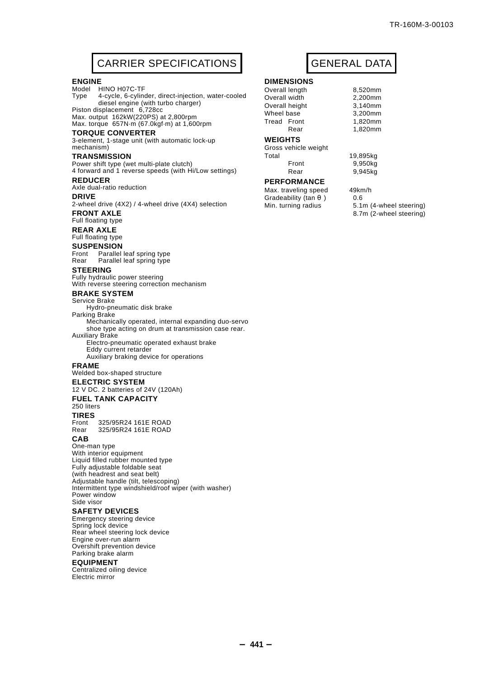## CARRIER SPECIFICATIONS | GENERAL DATA

#### **ENGINE**

Model HINO H07C-TF Type 4-cycle, 6-cylinder, direct-injection, water-cooled diesel engine (with turbo charger) Piston displacement 6,728cc

Max. output 162kW(220PS) at 2,800rpm Max. torque 657N.m (67.0kgf.m) at 1,600rpm

#### **TORQUE CONVERTER**

3-element, 1-stage unit (with automatic lock-up mechanism)

#### **TRANSMISSION**

Power shift type (wet multi-plate clutch) 4 forward and 1 reverse speeds (with Hi/Low settings)

#### **REDUCER**

Axle dual-ratio reduction

#### **DRIVE**

2-wheel drive (4X2) / 4-wheel drive (4X4) selection **FRONT AXLE**

#### Full floating type

**REAR AXLE**

#### Full floating type

**SUSPENSION**

Front Parallel leaf spring type<br>Rear Parallel leaf spring type Parallel leaf spring type

#### **STEERING**

Fully hydraulic power steering

With reverse steering correction mechanism

#### **BRAKE SYSTEM** Service Brake

Hydro-pneumatic disk brake

#### Parking Brake

Mechanically operated, internal expanding duo-servo shoe type acting on drum at transmission case rear. Auxiliary Brake

Electro-pneumatic operated exhaust brake Eddy current retarder Auxiliary braking device for operations

#### **FRAME**

Welded box-shaped structure

#### **ELECTRIC SYSTEM**

12 V DC. 2 batteries of 24V (120Ah)

#### **FUEL TANK CAPACITY**

#### 250 liters

**TIRES**

Front 325/95R24 161E ROAD<br>Rear 325/95R24 161E ROAD Rear 325/95R24 161E ROAD

#### **CAB**

One-man type With interior equipment Liquid filled rubber mounted type Fully adjustable foldable seat (with headrest and seat belt) Adjustable handle (tilt, telescoping) Intermittent type windshield/roof wiper (with washer) Power window Side visor

#### **SAFETY DEVICES**

Emergency steering device Spring lock device Rear wheel steering lock device Engine over-run alarm Overshift prevention device Parking brake alarm

#### **EQUIPMENT**

Centralized oiling device Electric mirror

#### **DIMENSIONS**

Overall length 8,520mm<br>Overall width 2.200mm Overall width

Overall height 3,140mm<br>Wheel base 3.200mm Wheel base

**WEIGHTS**

Gross vehicle weight Total 19,895kg Front 9,950kg Rear 9,945kg

#### **PERFORMANCE**

Max. traveling speed 49km/h Gradeability (tan ) 0.6<br>Min. turning radius 5.1

Tread Front 1,820mm Rear 1,820mm

5.1m (4-wheel steering) 8.7m (2-wheel steering)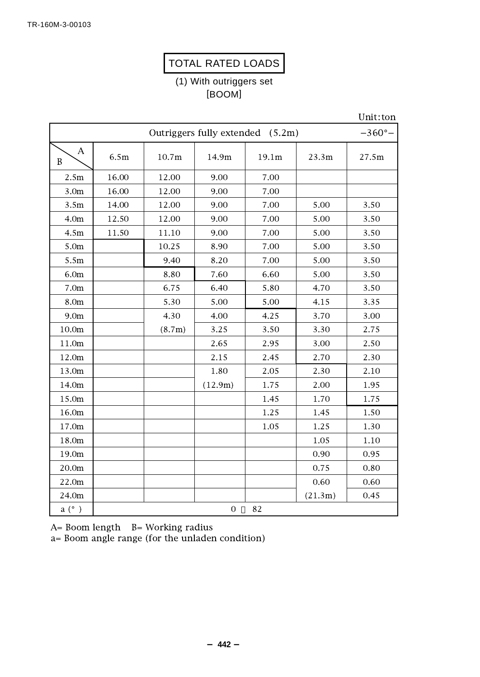## TOTAL RATED LOADS

(1) With outriggers set [BOOM]

Unit:ton

|                  | Outriggers fully extended (5.2m)<br>$-360^{\circ}$ - |        |                  |       |         |       |
|------------------|------------------------------------------------------|--------|------------------|-------|---------|-------|
| Α<br>B           | 6.5m                                                 | 10.7m  | 14.9m            | 19.1m | 23.3m   | 27.5m |
| 2.5m             | 16.00                                                | 12.00  | 9.00             | 7.00  |         |       |
| 3.0 <sub>m</sub> | 16.00                                                | 12.00  | 9.00             | 7.00  |         |       |
| 3.5m             | 14.00                                                | 12.00  | 9.00             | 7.00  | 5.00    | 3.50  |
| 4.0 <sub>m</sub> | 12.50                                                | 12.00  | 9.00             | 7.00  | 5.00    | 3.50  |
| 4.5m             | 11.50                                                | 11.10  | 9.00             | 7.00  | 5.00    | 3.50  |
| 5.0m             |                                                      | 10.25  | 8.90             | 7.00  | 5.00    | 3.50  |
| 5.5m             |                                                      | 9.40   | 8.20             | 7.00  | 5.00    | 3.50  |
| 6.0m             |                                                      | 8.80   | 7.60             | 6.60  | 5.00    | 3.50  |
| 7.0 <sub>m</sub> |                                                      | 6.75   | 6.40             | 5.80  | 4.70    | 3.50  |
| 8.0m             |                                                      | 5.30   | 5.00             | 5.00  | 4.15    | 3.35  |
| 9.0 <sub>m</sub> |                                                      | 4.30   | 4.00             | 4.25  | 3.70    | 3.00  |
| $10.0\mathrm{m}$ |                                                      | (8.7m) | 3.25             | 3.50  | 3.30    | 2.75  |
| 11.0m            |                                                      |        | 2.65             | 2.95  | 3.00    | 2.50  |
| 12.0m            |                                                      |        | 2.15             | 2.45  | 2.70    | 2.30  |
| 13.0m            |                                                      |        | 1.80             | 2.05  | 2.30    | 2.10  |
| 14.0m            |                                                      |        | (12.9m)          | 1.75  | 2.00    | 1.95  |
| 15.0m            |                                                      |        |                  | 1.45  | 1.70    | 1.75  |
| 16.0m            |                                                      |        |                  | 1.25  | 1.45    | 1.50  |
| 17.0m            |                                                      |        |                  | 1.05  | 1.25    | 1.30  |
| 18.0m            |                                                      |        |                  |       | 1.05    | 1.10  |
| 19.0m            |                                                      |        |                  |       | 0.90    | 0.95  |
| 20.0m            |                                                      |        |                  |       | 0.75    | 0.80  |
| 22.0m            |                                                      |        |                  |       | 0.60    | 0.60  |
| 24.0m            |                                                      |        |                  |       | (21.3m) | 0.45  |
| a (° )           |                                                      |        | $\boldsymbol{0}$ | 82    |         |       |

A= Boom length B= Working radius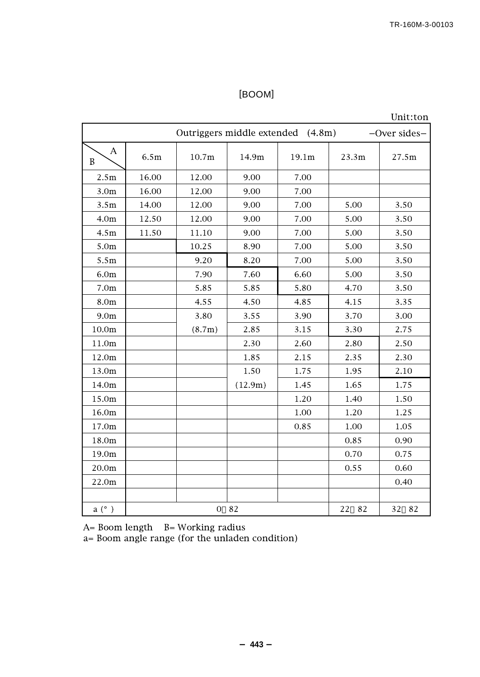## [BOOM]

Unit:ton

|                  | Outriggers middle extended (4.8m)<br>-Over sides- |                |         |       |          |          |
|------------------|---------------------------------------------------|----------------|---------|-------|----------|----------|
| А<br>B           | 6.5m                                              | 10.7m          | 14.9m   | 19.1m | 23.3m    | 27.5m    |
| 2.5m             | 16.00                                             | 12.00          | 9.00    | 7.00  |          |          |
| 3.0 <sub>m</sub> | 16.00                                             | 12.00          | 9.00    | 7.00  |          |          |
| 3.5m             | 14.00                                             | 12.00          | 9.00    | 7.00  | 5.00     | 3.50     |
| 4.0 <sub>m</sub> | 12.50                                             | 12.00          | 9.00    | 7.00  | 5.00     | 3.50     |
| 4.5m             | 11.50                                             | 11.10          | 9.00    | 7.00  | 5.00     | 3.50     |
| 5.0m             |                                                   | 10.25          | 8.90    | 7.00  | 5.00     | 3.50     |
| 5.5m             |                                                   | 9.20           | 8.20    | 7.00  | 5.00     | 3.50     |
| 6.0 <sub>m</sub> |                                                   | 7.90           | 7.60    | 6.60  | 5.00     | 3.50     |
| 7.0 <sub>m</sub> |                                                   | 5.85           | 5.85    | 5.80  | 4.70     | 3.50     |
| 8.0m             |                                                   | 4.55           | 4.50    | 4.85  | 4.15     | 3.35     |
| 9.0 <sub>m</sub> |                                                   | 3.80           | 3.55    | 3.90  | 3.70     | 3.00     |
| 10.0m            |                                                   | (8.7m)         | 2.85    | 3.15  | 3.30     | 2.75     |
| 11.0m            |                                                   |                | 2.30    | 2.60  | 2.80     | 2.50     |
| 12.0m            |                                                   |                | 1.85    | 2.15  | 2.35     | 2.30     |
| 13.0m            |                                                   |                | 1.50    | 1.75  | 1.95     | 2.10     |
| 14.0m            |                                                   |                | (12.9m) | 1.45  | 1.65     | 1.75     |
| 15.0m            |                                                   |                |         | 1.20  | 1.40     | 1.50     |
| 16.0m            |                                                   |                |         | 1.00  | 1.20     | 1.25     |
| 17.0m            |                                                   |                |         | 0.85  | 1.00     | 1.05     |
| 18.0m            |                                                   |                |         |       | 0.85     | 0.90     |
| 19.0m            |                                                   |                |         |       | 0.70     | 0.75     |
| 20.0m            |                                                   |                |         |       | 0.55     | 0.60     |
| 22.0m            |                                                   |                |         |       |          | 0.40     |
|                  |                                                   |                |         |       |          |          |
| a (°)            |                                                   | $\overline{0}$ | 82      |       | 82<br>22 | 32<br>82 |

A= Boom length B= Working radius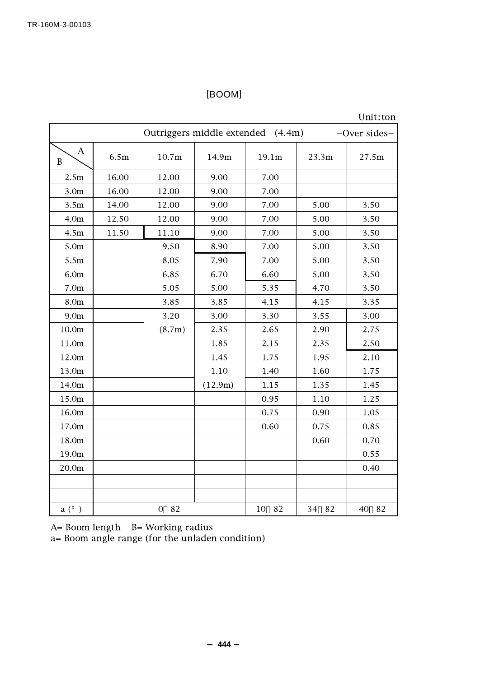## [BOOM]

#### Unit:ton

|                  | Outriggers middle extended (4.4m)<br>-Over sides- |                      |         |          |          |          |
|------------------|---------------------------------------------------|----------------------|---------|----------|----------|----------|
| А<br>B           | 6.5m                                              | 10.7m                | 14.9m   | 19.1m    | 23.3m    | 27.5m    |
| 2.5m             | 16.00                                             | 12.00                | 9.00    | 7.00     |          |          |
| 3.0 <sub>m</sub> | 16.00                                             | 12.00                | 9.00    | 7.00     |          |          |
| 3.5m             | 14.00                                             | 12.00                | 9.00    | 7.00     | 5.00     | 3.50     |
| 4.0 <sub>m</sub> | 12.50                                             | 12.00                | 9.00    | 7.00     | 5.00     | 3.50     |
| 4.5m             | 11.50                                             | 11.10                | 9.00    | 7.00     | 5.00     | 3.50     |
| 5.0m             |                                                   | 9.50                 | 8.90    | 7.00     | 5.00     | 3.50     |
| 5.5m             |                                                   | 8.05                 | 7.90    | 7.00     | 5.00     | 3.50     |
| 6.0 <sub>m</sub> |                                                   | 6.85                 | 6.70    | 6.60     | 5.00     | 3.50     |
| 7.0 <sub>m</sub> |                                                   | 5.05                 | 5.00    | 5.35     | 4.70     | 3.50     |
| 8.0m             |                                                   | 3.85                 | 3.85    | 4.15     | 4.15     | 3.35     |
| 9.0 <sub>m</sub> |                                                   | 3.20                 | 3.00    | 3.30     | 3.55     | 3.00     |
| 10.0m            |                                                   | (8.7m)               | 2.35    | 2.65     | 2.90     | 2.75     |
| 11.0m            |                                                   |                      | 1.85    | 2.15     | 2.35     | 2.50     |
| 12.0m            |                                                   |                      | 1.45    | 1.75     | 1.95     | 2.10     |
| 13.0m            |                                                   |                      | 1.10    | 1.40     | 1.60     | 1.75     |
| 14.0m            |                                                   |                      | (12.9m) | 1.15     | 1.35     | 1.45     |
| 15.0m            |                                                   |                      |         | 0.95     | 1.10     | 1.25     |
| 16.0m            |                                                   |                      |         | 0.75     | 0.90     | 1.05     |
| 17.0m            |                                                   |                      |         | 0.60     | 0.75     | 0.85     |
| 18.0m            |                                                   |                      |         |          | 0.60     | 0.70     |
| 19.0m            |                                                   |                      |         |          |          | 0.55     |
| 20.0m            |                                                   |                      |         |          |          | 0.40     |
|                  |                                                   |                      |         |          |          |          |
|                  |                                                   |                      |         |          |          |          |
| a (°)            |                                                   | 82<br>$\overline{0}$ |         | 82<br>10 | 34<br>82 | 40<br>82 |

A= Boom length B= Working radius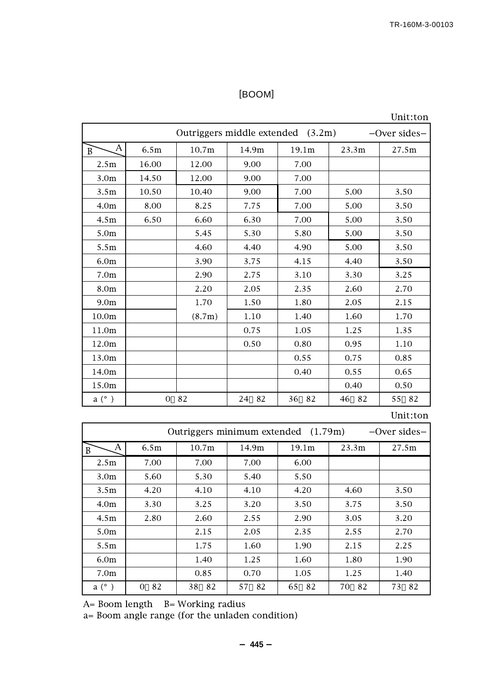## [BOOM]

Unit:ton

|                   | Outriggers middle extended (3.2m)<br>-Over sides- |        |          |          |          |          |
|-------------------|---------------------------------------------------|--------|----------|----------|----------|----------|
| A<br>B            | 6.5m                                              | 10.7m  | 14.9m    | 19.1m    | 23.3m    | 27.5m    |
| 2.5m              | 16.00                                             | 12.00  | 9.00     | 7.00     |          |          |
| 3.0 <sub>m</sub>  | 14.50                                             | 12.00  | 9.00     | 7.00     |          |          |
| 3.5 <sub>m</sub>  | 10.50                                             | 10.40  | 9.00     | 7.00     | 5.00     | 3.50     |
| 4.0 <sub>m</sub>  | 8.00                                              | 8.25   | 7.75     | 7.00     | 5.00     | 3.50     |
| 4.5m              | 6.50                                              | 6.60   | 6.30     | 7.00     | 5.00     | 3.50     |
| 5.0m              |                                                   | 5.45   | 5.30     | 5.80     | 5.00     | 3.50     |
| 5.5m              |                                                   | 4.60   | 4.40     | 4.90     | 5.00     | 3.50     |
| 6.0 <sub>m</sub>  |                                                   | 3.90   | 3.75     | 4.15     | 4.40     | 3.50     |
| 7.0 <sub>m</sub>  |                                                   | 2.90   | 2.75     | 3.10     | 3.30     | 3.25     |
| 8.0m              |                                                   | 2.20   | 2.05     | 2.35     | 2.60     | 2.70     |
| 9.0 <sub>m</sub>  |                                                   | 1.70   | 1.50     | 1.80     | 2.05     | 2.15     |
| 10.0 <sub>m</sub> |                                                   | (8.7m) | 1.10     | 1.40     | 1.60     | 1.70     |
| 11.0m             |                                                   |        | 0.75     | 1.05     | 1.25     | 1.35     |
| 12.0m             |                                                   |        | 0.50     | 0.80     | 0.95     | 1.10     |
| 13.0m             |                                                   |        |          | 0.55     | 0.75     | 0.85     |
| 14.0m             |                                                   |        |          | 0.40     | 0.55     | 0.65     |
| 15.0m             |                                                   |        |          |          | 0.40     | 0.50     |
| a (°)             | $\mathbf{O}$                                      | 82     | 82<br>24 | 36<br>82 | 82<br>46 | 55<br>82 |

## Unit:ton

|                  | Outriggers minimum extended (1.79m)<br>$-$ Over sides $-$ |            |       |          |           |          |
|------------------|-----------------------------------------------------------|------------|-------|----------|-----------|----------|
| А<br>B           | 6.5m                                                      | 10.7m      | 14.9m | 19.1m    | 23.3m     | 27.5m    |
| 2.5m             | 7.00                                                      | 7.00       | 7.00  | 6.00     |           |          |
| 3.0 <sub>m</sub> | 5.60                                                      | 5.30       | 5.40  | 5.50     |           |          |
| 3.5 <sub>m</sub> | 4.20                                                      | 4.10       | 4.10  | 4.20     | 4.60      | 3.50     |
| 4.0 <sub>m</sub> | 3.30                                                      | 3.25       | 3.20  | 3.50     | 3.75      | 3.50     |
| 4.5m             | 2.80                                                      | 2.60       | 2.55  | 2.90     | 3.05      | 3.20     |
| 5.0 <sub>m</sub> |                                                           | 2.15       | 2.05  | 2.35     | 2.55      | 2.70     |
| 5.5m             |                                                           | 1.75       | 1.60  | 1.90     | 2.15      | 2.25     |
| 6.0 <sub>m</sub> |                                                           | 1.40       | 1.25  | 1.60     | 1.80      | 1.90     |
| 7.0 <sub>m</sub> |                                                           | 0.85       | 0.70  | 1.05     | 1.25      | 1.40     |
| $a^{\circ}$ )    | 82<br>$\Omega$                                            | - 82<br>38 | 57 82 | 82<br>65 | -82<br>70 | 73<br>82 |

A= Boom length B= Working radius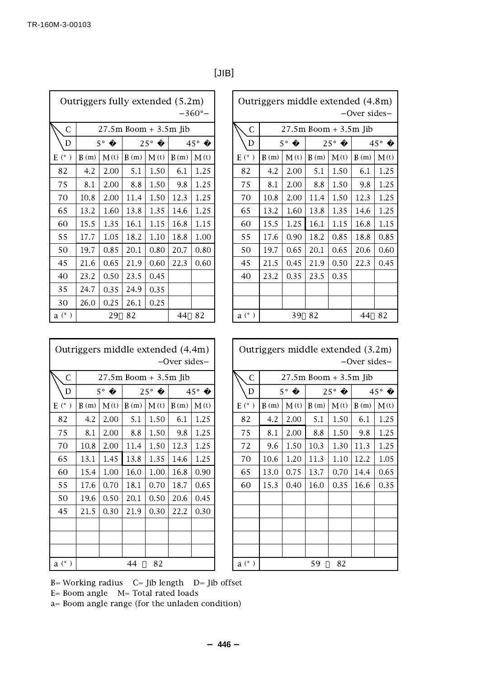|               | Outriggers fully extended (5.2m)<br>$-360^{\circ}$ – |             |      |              |                          |              |  |               |      |             |      |                          | Outriggers middle extended (4.8m<br>-Over sides |              |
|---------------|------------------------------------------------------|-------------|------|--------------|--------------------------|--------------|--|---------------|------|-------------|------|--------------------------|-------------------------------------------------|--------------|
| C             |                                                      |             |      |              | $27.5m$ Boom $+3.5m$ Jib |              |  | $\mathsf{C}$  |      |             |      | $27.5m$ Boom $+3.5m$ Jib |                                                 |              |
| D             |                                                      | $5^{\circ}$ |      | $25^{\circ}$ |                          | $45^{\circ}$ |  | D             |      | $5^{\circ}$ |      | $25^\circ$               |                                                 | $45^{\circ}$ |
| $E^{\circ}$ ) | B(m)                                                 | M(t)        | B(m) | M(t)         | B(m)                     | M(t)         |  | $E$ (°)       | B(m) | M(t)        | B(m) | M(t)                     | B(m)                                            | M            |
| 82            | 4.2                                                  | 2.00        | 5.1  | 1.50         | 6.1                      | 1.25         |  | 82            | 4.2  | 2.00        | 5.1  | 1.50                     | 6.1                                             | 1.2          |
| 75            | 8.1                                                  | 2.00        | 8.8  | 1.50         | 9.8                      | 1.25         |  | 75            | 8.1  | 2.00        | 8.8  | 1.50                     | 9.8                                             | 1.2          |
| 70            | 10.8                                                 | 2.00        | 11.4 | 1.50         | 12.3                     | 1.25         |  | 70            | 10.8 | 2.00        | 11.4 | 1.50                     | 12.3                                            | 1.2          |
| 65            | 13.2                                                 | 1.60        | 13.8 | 1.35         | 14.6                     | 1.25         |  | 65            | 13.2 | 1.60        | 13.8 | 1.35                     | 14.6                                            | 1.2          |
| 60            | 15.5                                                 | 1.35        | 16.1 | 1.15         | 16.8                     | 1.15         |  | 60            | 15.5 | 1.25        | 16.1 | 1.15                     | 16.8                                            | 1.1          |
| 55            | 17.7                                                 | 1.05        | 18.2 | 1.10         | 18.8                     | 1.00         |  | 55            | 17.6 | 0.90        | 18.2 | 0.85                     | 18.8                                            | $0.\xi$      |
| 50            | 19.7                                                 | 0.85        | 20.1 | 0.80         | 20.7                     | 0.80         |  | 50            | 19.7 | 0.65        | 20.1 | 0.65                     | 20.6                                            | 0.6          |
| 45            | 21.6                                                 | 0.65        | 21.9 | 0.60         | 22.3                     | 0.60         |  | 45            | 21.5 | 0.45        | 21.9 | 0.50                     | 22.3                                            | 0.4          |
| 40            | 23.2                                                 | 0.50        | 23.5 | 0.45         |                          |              |  | 40            | 23.2 | 0.35        | 23.5 | 0.35                     |                                                 |              |
| 35            | 24.7                                                 | 0.35        | 24.9 | 0.35         |                          |              |  |               |      |             |      |                          |                                                 |              |
| 30            | 26.0                                                 | 0.25        | 26.1 | 0.25         |                          |              |  |               |      |             |      |                          |                                                 |              |
| $a^{\circ}$ ) |                                                      | 29          | 82   |              | 44                       | 82           |  | $a^{\circ}$ ) |      | 39          | 82   |                          | 44                                              | 82           |

| ۰,<br>× | I |
|---------|---|
|---------|---|

|          | 5.2m)<br>$-360^{\circ}$ – | Outriggers middle extended (4.8m)<br>-Over sides- |      |             |                          |              |      |              |
|----------|---------------------------|---------------------------------------------------|------|-------------|--------------------------|--------------|------|--------------|
| Jib      |                           | C                                                 |      |             | $27.5m$ Boom $+3.5m$ Jib |              |      |              |
|          | $45^{\circ}$              | D                                                 |      | $5^{\circ}$ |                          | $25^{\circ}$ |      | $45^{\circ}$ |
| m)       | M(t)                      | $E$ (°)                                           | B(m) | M(t)        | B(m)                     | M(t)         | B(m) | M(t)         |
| 5.1      | 1.25                      | 82                                                | 4.2  | 2.00        | 5.1                      | 1.50         | 6.1  | 1.25         |
| .8       | 1.25                      | 75                                                | 8.1  | 2.00        | 8.8                      | 1.50         | 9.8  | 1.25         |
| 2.3      | 1.25                      | 70                                                | 10.8 | 2.00        | 11.4                     | 1.50         | 12.3 | 1.25         |
| 1.6      | 1.25                      | 65                                                | 13.2 | 1.60        | 13.8                     | 1.35         | 14.6 | 1.25         |
| 5.8      | 1.15                      | 60                                                | 15.5 | 1.25        | 16.1                     | 1.15         | 16.8 | 1.15         |
| 8.8      | 1.00                      | 55                                                | 17.6 | 0.90        | 18.2                     | 0.85         | 18.8 | 0.85         |
| , 7      | 0.80                      | 50                                                | 19.7 | 0.65        | 20.1                     | 0.65         | 20.6 | 0.60         |
| $^{2.3}$ | 0.60                      | 45                                                | 21.5 | 0.45        | 21.9                     | 0.50         | 22.3 | 0.45         |
|          |                           | 40                                                | 23.2 | 0.35        | 23.5                     | 0.35         |      |              |
|          |                           |                                                   |      |             |                          |              |      |              |
|          |                           |                                                   |      |             |                          |              |      |              |
| 44       | 82                        | $a^{\circ}$ )                                     |      | 39          | 82                       |              | 44   | 82           |

| Outriggers middle extended (4.4m)<br>-Over sides- |      |             |                       |              |      |              |
|---------------------------------------------------|------|-------------|-----------------------|--------------|------|--------------|
| С                                                 |      |             | 27.5m Boom + 3.5m Jib |              |      |              |
| D                                                 |      | $5^{\circ}$ |                       | $25^{\circ}$ |      | $45^{\circ}$ |
| $Eo$ )                                            | B(m) | M(t)        | B(m)                  | M(t)         | B(m) | M(t)         |
| 82                                                | 4.2  | 2.00        | 5.1                   | 1.50         | 6.1  | 1.25         |
| 75                                                | 8.1  | 2.00        | 8.8                   | 1.50         | 9.8  | 1.25         |
| 70                                                | 10.8 | 2.00        | 11.4                  | 1.50         | 12.3 | 1.25         |
| 65                                                | 13.1 | 1.45        | 13.8                  | 1.35         | 14.6 | 1.25         |
| 60                                                | 15.4 | 1.00        | 16.0                  | 1.00         | 16.8 | 0.90         |
| 55                                                | 17.6 | 0.70        | 18.1                  | 0.70         | 18.7 | 0.65         |
| 50                                                | 19.6 | 0.50        | 20.1                  | 0.50         | 20.6 | 0.45         |
| 45                                                | 21.5 | 0.30        | 21.9                  | 0.30         | 22.2 | 0.30         |
|                                                   |      |             |                       |              |      |              |
|                                                   |      |             |                       |              |      |              |
|                                                   |      |             |                       |              |      |              |
| a (°)<br>$\lambda$                                |      |             | 44                    | 82           |      |              |

| Outriggers middle extended (3.2m) |
|-----------------------------------|
| -Over sides-                      |

| $\mathsf{C}$                | 27.5m Boom + 3.5m Jib |      |      |              |              |      |  |
|-----------------------------|-----------------------|------|------|--------------|--------------|------|--|
| D                           | 5°                    |      |      | $25^{\circ}$ | $45^{\circ}$ |      |  |
| E (° )                      | B(m)                  | M(t) | B(m) | M(t)         | B(m)         | M(t) |  |
| 82                          | 4.2                   | 2.00 | 5.1  | 1.50         | 6.1          | 1.25 |  |
| 75                          | 8.1                   | 2.00 | 8.8  | 1.50         | 9.8          | 1.25 |  |
| 72                          | 9.6                   | 1.50 | 10.3 | 1.30         | 11.3         | 1.25 |  |
| 70                          | 10.6                  | 1.20 | 11.3 | 1.10         | 12.2         | 1.05 |  |
| 65                          | 13.0                  | 0.75 | 13.7 | 0.70         | 14.4         | 0.65 |  |
| 60                          | 15.3                  | 0.40 | 16.0 | 0.35         | 16.6         | 0.35 |  |
|                             |                       |      |      |              |              |      |  |
|                             |                       |      |      |              |              |      |  |
|                             |                       |      |      |              |              |      |  |
|                             |                       |      |      |              |              |      |  |
|                             |                       |      |      |              |              |      |  |
| a <sup>°</sup><br>$\lambda$ |                       |      | 59   | 82           |              |      |  |

B= Working radius C= Jib length D= Jib offset

E= Boom angle M= Total rated loads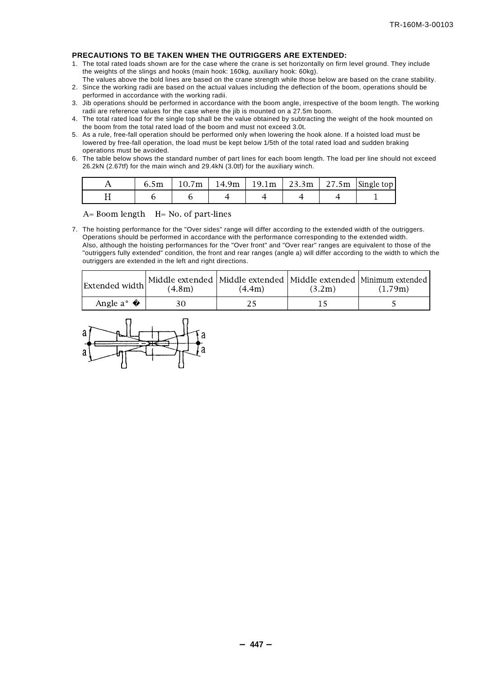#### **PRECAUTIONS TO BE TAKEN WHEN THE OUTRIGGERS ARE EXTENDED:**

- 1. The total rated loads shown are for the case where the crane is set horizontally on firm level ground. They include the weights of the slings and hooks (main hook: 160kg, auxiliary hook: 60kg).
- The values above the bold lines are based on the crane strength while those below are based on the crane stability. 2. Since the working radii are based on the actual values including the deflection of the boom, operations should be performed in accordance with the working radii.
- 3. Jib operations should be performed in accordance with the boom angle, irrespective of the boom length. The working radii are reference values for the case where the jib is mounted on a 27.5m boom.
- 4. The total rated load for the single top shall be the value obtained by subtracting the weight of the hook mounted on the boom from the total rated load of the boom and must not exceed 3.0t.
- 5. As a rule, free-fall operation should be performed only when lowering the hook alone. If a hoisted load must be lowered by free-fall operation, the load must be kept below 1/5th of the total rated load and sudden braking operations must be avoided.
- 6. The table below shows the standard number of part lines for each boom length. The load per line should not exceed 26.2kN (2.67tf) for the main winch and 29.4kN (3.0tf) for the auxiliary winch.

| 6.5m |  |  | $10.7m$   14.9m   19.1m   23.3m   27.5m   Single top |
|------|--|--|------------------------------------------------------|
|      |  |  |                                                      |

 $A=$  Boom length  $H=$  No. of part-lines

7. The hoisting performance for the "Over sides" range will differ according to the extended width of the outriggers. Operations should be performed in accordance with the performance corresponding to the extended width. Also, although the hoisting performances for the "Over front" and "Over rear" ranges are equivalent to those of the "outriggers fully extended" condition, the front and rear ranges (angle a) will differ according to the width to which the outriggers are extended in the left and right directions.

| Extended width | (4.8m) | (4.4m) | (3.2m) | Middle extended   Middle extended   Middle extended   Minimum extended  <br>(1.79m) |
|----------------|--------|--------|--------|-------------------------------------------------------------------------------------|
| Angle a°       |        |        |        |                                                                                     |

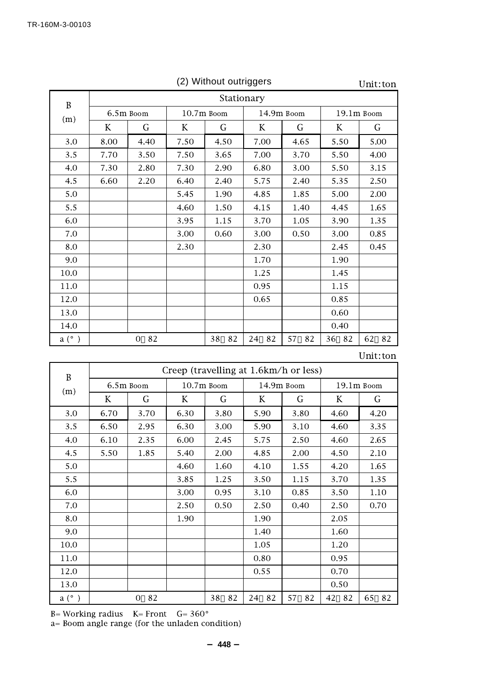|       |            |                      |              |          |            |          |              | 01111.UV |  |  |
|-------|------------|----------------------|--------------|----------|------------|----------|--------------|----------|--|--|
| B     | Stationary |                      |              |          |            |          |              |          |  |  |
| (m)   | 6.5m Boom  |                      | $10.7m$ Boom |          | 14.9m Boom |          | $19.1m$ Boom |          |  |  |
|       | K          | G                    | K            | G        | K          | G        | K            | G        |  |  |
| 3.0   | 8.00       | 4.40                 | 7.50         | 4.50     | 7.00       | 4.65     | 5.50         | 5.00     |  |  |
| 3.5   | 7.70       | 3.50                 | 7.50         | 3.65     | 7.00       | 3.70     | 5.50         | 4.00     |  |  |
| 4.0   | 7.30       | 2.80                 | 7.30         | 2.90     | 6.80       | 3.00     | 5.50         | 3.15     |  |  |
| 4.5   | 6.60       | 2.20                 | 6.40         | 2.40     | 5.75       | 2.40     | 5.35         | 2.50     |  |  |
| 5.0   |            |                      | 5.45         | 1.90     | 4.85       | 1.85     | 5.00         | 2.00     |  |  |
| 5.5   |            |                      | 4.60         | 1.50     | 4.15       | 1.40     | 4.45         | 1.65     |  |  |
| 6.0   |            |                      | 3.95         | 1.15     | 3.70       | 1.05     | 3.90         | 1.35     |  |  |
| 7.0   |            |                      | 3.00         | 0.60     | 3.00       | 0.50     | 3.00         | 0.85     |  |  |
| 8.0   |            |                      | 2.30         |          | 2.30       |          | 2.45         | 0.45     |  |  |
| 9.0   |            |                      |              |          | 1.70       |          | 1.90         |          |  |  |
| 10.0  |            |                      |              |          | 1.25       |          | 1.45         |          |  |  |
| 11.0  |            |                      |              |          | 0.95       |          | 1.15         |          |  |  |
| 12.0  |            |                      |              |          | 0.65       |          | 0.85         |          |  |  |
| 13.0  |            |                      |              |          |            |          | 0.60         |          |  |  |
| 14.0  |            |                      |              |          |            |          | 0.40         |          |  |  |
| a (°) |            | 82<br>$\overline{0}$ |              | 38<br>82 | 82<br>24   | 82<br>57 | 36 82        | 62<br>82 |  |  |

(2) Without outriggers

Unit :ton

 $\text{Unit:}\text{ton}$ 

| B             |      | Creep (travelling at 1.6km/h or less) |      |          |            |          |            |          |  |
|---------------|------|---------------------------------------|------|----------|------------|----------|------------|----------|--|
|               |      | $10.7m$ Boom<br>6.5m Boom             |      |          | 14.9m Boom |          | 19.1m Boom |          |  |
| (m)           | K    | G                                     | K    | G        | K          | G        | K          | G        |  |
| 3.0           | 6.70 | 3.70                                  | 6.30 | 3.80     | 5.90       | 3.80     | 4.60       | 4.20     |  |
| 3.5           | 6.50 | 2.95                                  | 6.30 | 3.00     | 5.90       | 3.10     | 4.60       | 3.35     |  |
| 4.0           | 6.10 | 2.35                                  | 6.00 | 2.45     | 5.75       | 2.50     | 4.60       | 2.65     |  |
| 4.5           | 5.50 | 1.85                                  | 5.40 | 2.00     | 4.85       | 2.00     | 4.50       | 2.10     |  |
| 5.0           |      |                                       | 4.60 | 1.60     | 4.10       | 1.55     | 4.20       | 1.65     |  |
| 5.5           |      |                                       | 3.85 | 1.25     | 3.50       | 1.15     | 3.70       | 1.35     |  |
| 6.0           |      |                                       | 3.00 | 0.95     | 3.10       | 0.85     | 3.50       | 1.10     |  |
| 7.0           |      |                                       | 2.50 | 0.50     | 2.50       | 0.40     | 2.50       | 0.70     |  |
| 8.0           |      |                                       | 1.90 |          | 1.90       |          | 2.05       |          |  |
| 9.0           |      |                                       |      |          | 1.40       |          | 1.60       |          |  |
| 10.0          |      |                                       |      |          | 1.05       |          | 1.20       |          |  |
| 11.0          |      |                                       |      |          | 0.80       |          | 0.95       |          |  |
| 12.0          |      |                                       |      |          | 0.55       |          | 0.70       |          |  |
| 13.0          |      |                                       |      |          |            |          | 0.50       |          |  |
| $a^{\circ}$ ) |      | 82<br>$\Omega$                        |      | 82<br>38 | 24<br>82   | 82<br>57 | 42<br>82   | 82<br>65 |  |

B= Working radius K= Front G= 360°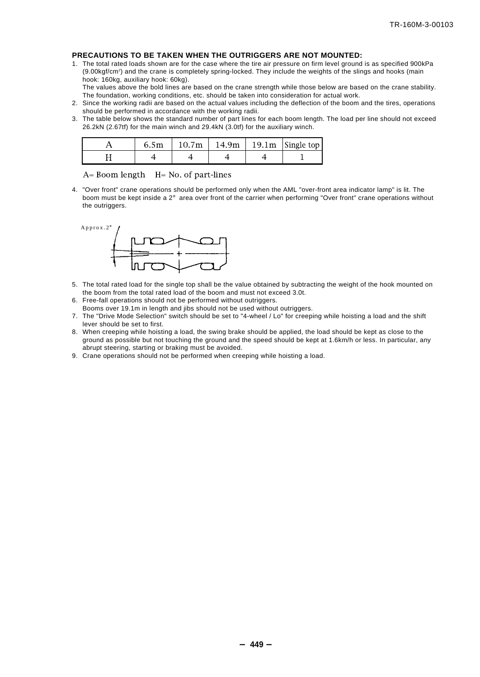#### **PRECAUTIONS TO BE TAKEN WHEN THE OUTRIGGERS ARE NOT MOUNTED:**

1. The total rated loads shown are for the case where the tire air pressure on firm level ground is as specified 900kPa (9.00kgf/cm2 ) and the crane is completely spring-locked. They include the weights of the slings and hooks (main hook: 160kg, auxiliary hook: 60kg).

The values above the bold lines are based on the crane strength while those below are based on the crane stability. The foundation, working conditions, etc. should be taken into consideration for actual work.

- 2. Since the working radii are based on the actual values including the deflection of the boom and the tires, operations should be performed in accordance with the working radii.
- 3. The table below shows the standard number of part lines for each boom length. The load per line should not exceed 26.2kN (2.67tf) for the main winch and 29.4kN (3.0tf) for the auxiliary winch.

| 6.5m | 10.7m | 14.9m | 19.1 $m$   Single top |
|------|-------|-------|-----------------------|
|      |       |       |                       |

 $A=$  Boom length  $H=$  No. of part-lines

4. "Over front" crane operations should be performed only when the AML "over-front area indicator lamp" is lit. The boom must be kept inside a 2° area over front of the carrier when performing "Over front" crane operations without the outriggers.



- 5. The total rated load for the single top shall be the value obtained by subtracting the weight of the hook mounted on the boom from the total rated load of the boom and must not exceed 3.0t.
- 6. Free-fall operations should not be performed without outriggers.
- Booms over 19.1m in length and jibs should not be used without outriggers.
- 7. The "Drive Mode Selection" switch should be set to "4-wheel / Lo" for creeping while hoisting a load and the shift lever should be set to first.
- 8. When creeping while hoisting a load, the swing brake should be applied, the load should be kept as close to the ground as possible but not touching the ground and the speed should be kept at 1.6km/h or less. In particular, any abrupt steering, starting or braking must be avoided.
- 9. Crane operations should not be performed when creeping while hoisting a load.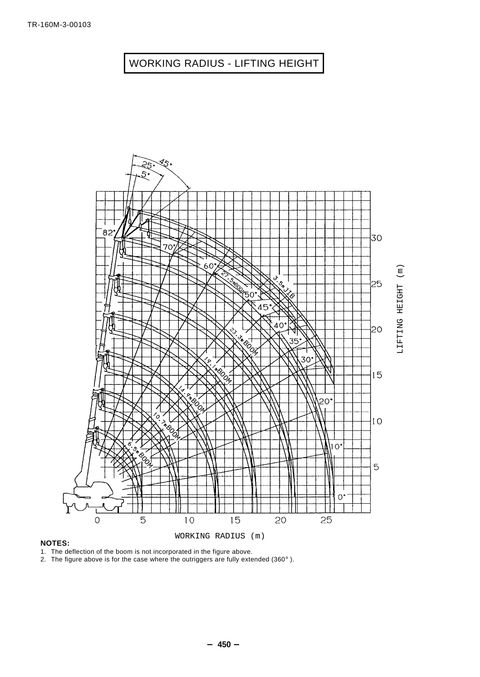## WORKING RADIUS - LIFTING HEIGHT



#### **NOTES:**

1. The deflection of the boom is not incorporated in the figure above.

2. The figure above is for the case where the outriggers are fully extended (360°).